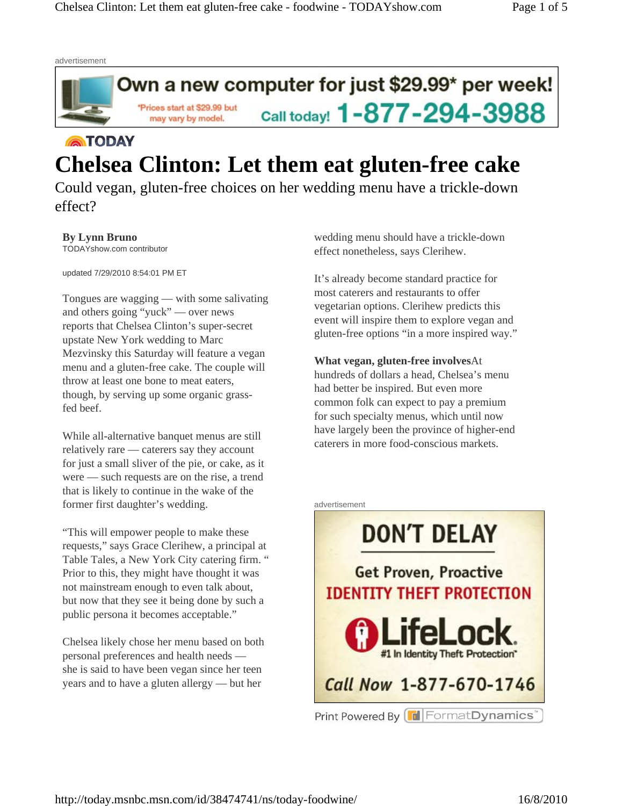

# **ATODAY Chelsea Clinton: Let them eat gluten-free cake**

Could vegan, gluten-free choices on her wedding menu have a trickle-down effect?

**By Lynn Bruno**  TODAYshow.com contributor

updated 7/29/2010 8:54:01 PM ET

Tongues are wagging — with some salivating and others going "yuck" — over news reports that Chelsea Clinton's super-secret upstate New York wedding to Marc Mezvinsky this Saturday will feature a vegan menu and a gluten-free cake. The couple will throw at least one bone to meat eaters, though, by serving up some organic grassfed beef.

While all-alternative banquet menus are still relatively rare — caterers say they account for just a small sliver of the pie, or cake, as it were — such requests are on the rise, a trend that is likely to continue in the wake of the former first daughter's wedding.

"This will empower people to make these requests," says Grace Clerihew, a principal at Table Tales, a New York City catering firm. " Prior to this, they might have thought it was not mainstream enough to even talk about, but now that they see it being done by such a public persona it becomes acceptable."

Chelsea likely chose her menu based on both personal preferences and health needs she is said to have been vegan since her teen years and to have a gluten allergy — but her

wedding menu should have a trickle-down effect nonetheless, says Clerihew.

It's already become standard practice for most caterers and restaurants to offer vegetarian options. Clerihew predicts this event will inspire them to explore vegan and gluten-free options "in a more inspired way."

**What vegan, gluten-free involves**At hundreds of dollars a head, Chelsea's menu had better be inspired. But even more common folk can expect to pay a premium for such specialty menus, which until now have largely been the province of higher-end caterers in more food-conscious markets.



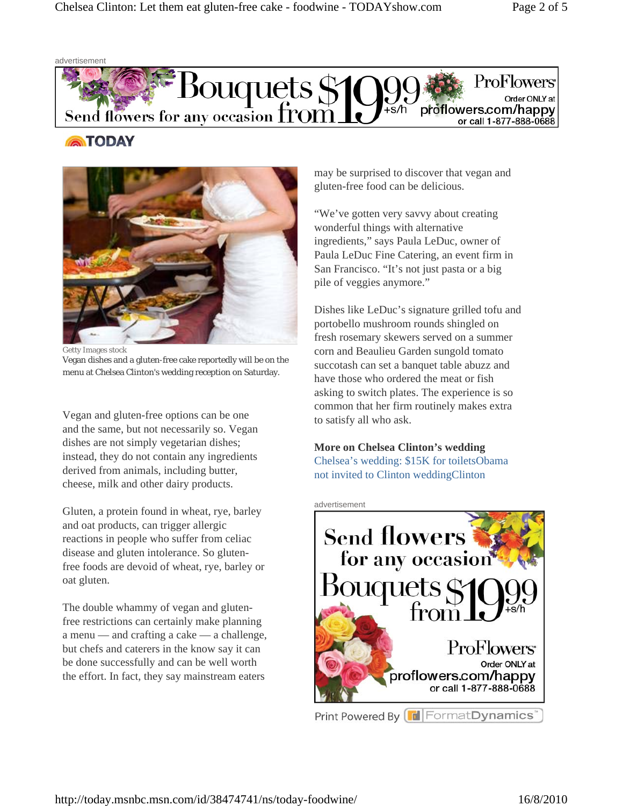advertisement



## **ATODAY**



Getty Images stock Vegan dishes and a gluten-free cake reportedly will be on the menu at Chelsea Clinton's wedding reception on Saturday.

Vegan and gluten-free options can be one and the same, but not necessarily so. Vegan dishes are not simply vegetarian dishes; instead, they do not contain any ingredients derived from animals, including butter, cheese, milk and other dairy products.

Gluten, a protein found in wheat, rye, barley and oat products, can trigger allergic reactions in people who suffer from celiac disease and gluten intolerance. So glutenfree foods are devoid of wheat, rye, barley or oat gluten.

The double whammy of vegan and glutenfree restrictions can certainly make planning a menu — and crafting a cake — a challenge, but chefs and caterers in the know say it can be done successfully and can be well worth the effort. In fact, they say mainstream eaters

may be surprised to discover that vegan and gluten-free food can be delicious.

"We've gotten very savvy about creating wonderful things with alternative ingredients," says Paula LeDuc, owner of Paula LeDuc Fine Catering, an event firm in San Francisco. "It's not just pasta or a big pile of veggies anymore."

Dishes like LeDuc's signature grilled tofu and portobello mushroom rounds shingled on fresh rosemary skewers served on a summer corn and Beaulieu Garden sungold tomato succotash can set a banquet table abuzz and have those who ordered the meat or fish asking to switch plates. The experience is so common that her firm routinely makes extra to satisfy all who ask.

### **More on Chelsea Clinton's wedding**

Chelsea's wedding: \$15K for toiletsObama not invited to Clinton weddingClinton

#### advertisement

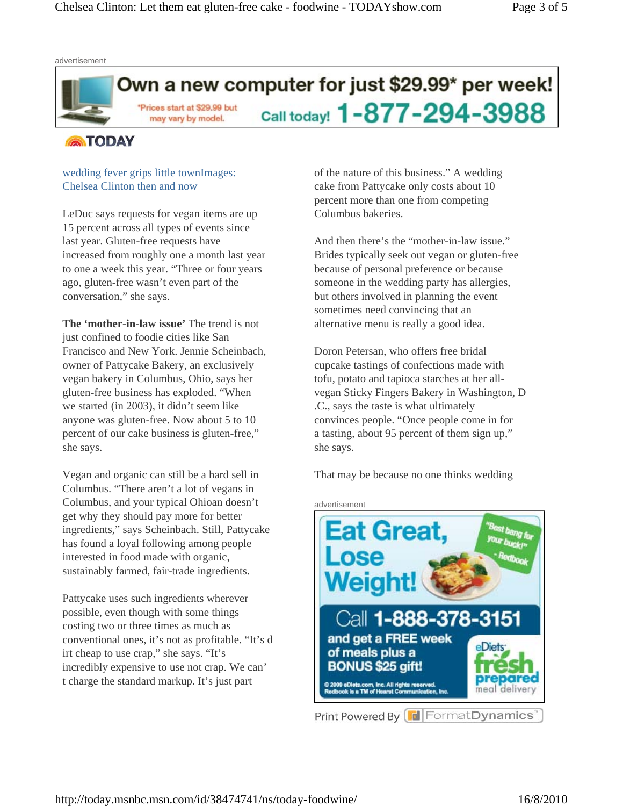

### **ATODAY**

### wedding fever grips little townImages: Chelsea Clinton then and now

LeDuc says requests for vegan items are up 15 percent across all types of events since last year. Gluten-free requests have increased from roughly one a month last year to one a week this year. "Three or four years ago, gluten-free wasn't even part of the conversation," she says.

**The 'mother-in-law issue'** The trend is not just confined to foodie cities like San Francisco and New York. Jennie Scheinbach, owner of Pattycake Bakery, an exclusively vegan bakery in Columbus, Ohio, says her gluten-free business has exploded. "When we started (in 2003), it didn't seem like anyone was gluten-free. Now about 5 to 10 percent of our cake business is gluten-free," she says.

Vegan and organic can still be a hard sell in Columbus. "There aren't a lot of vegans in Columbus, and your typical Ohioan doesn't get why they should pay more for better ingredients," says Scheinbach. Still, Pattycake has found a loyal following among people interested in food made with organic, sustainably farmed, fair-trade ingredients.

Pattycake uses such ingredients wherever possible, even though with some things costing two or three times as much as conventional ones, it's not as profitable. "It's d irt cheap to use crap," she says. "It's incredibly expensive to use not crap. We can' t charge the standard markup. It's just part

of the nature of this business." A wedding cake from Pattycake only costs about 10 percent more than one from competing Columbus bakeries.

And then there's the "mother-in-law issue." Brides typically seek out vegan or gluten-free because of personal preference or because someone in the wedding party has allergies, but others involved in planning the event sometimes need convincing that an alternative menu is really a good idea.

Doron Petersan, who offers free bridal cupcake tastings of confections made with tofu, potato and tapioca starches at her allvegan Sticky Fingers Bakery in Washington, D .C., says the taste is what ultimately convinces people. "Once people come in for a tasting, about 95 percent of them sign up," she says.

That may be because no one thinks wedding



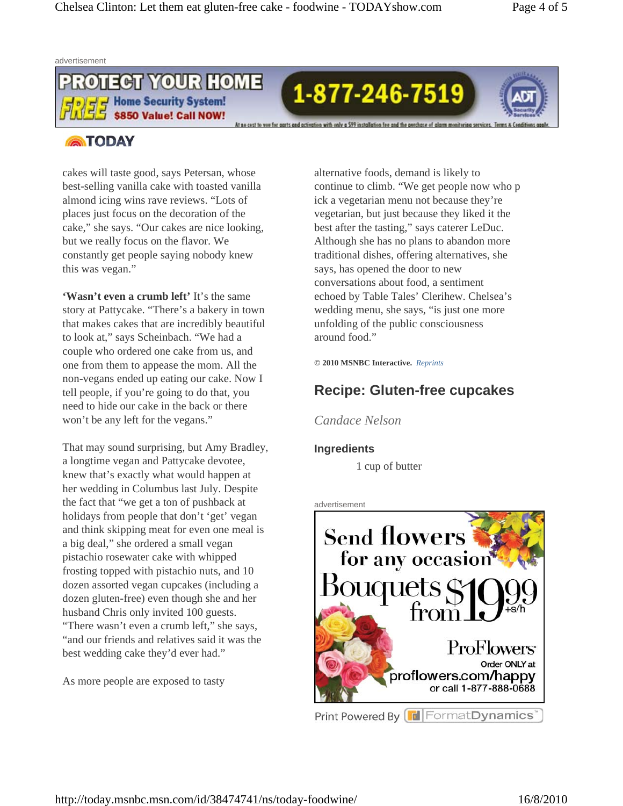

1-877-246-7519



### **ATODAY**

cakes will taste good, says Petersan, whose best-selling vanilla cake with toasted vanilla almond icing wins rave reviews. "Lots of places just focus on the decoration of the cake," she says. "Our cakes are nice looking, but we really focus on the flavor. We constantly get people saying nobody knew this was vegan."

**'Wasn't even a crumb left'** It's the same story at Pattycake. "There's a bakery in town that makes cakes that are incredibly beautiful to look at," says Scheinbach. "We had a couple who ordered one cake from us, and one from them to appease the mom. All the non-vegans ended up eating our cake. Now I tell people, if you're going to do that, you need to hide our cake in the back or there won't be any left for the vegans."

That may sound surprising, but Amy Bradley, a longtime vegan and Pattycake devotee, knew that's exactly what would happen at her wedding in Columbus last July. Despite the fact that "we get a ton of pushback at holidays from people that don't 'get' vegan and think skipping meat for even one meal is a big deal," she ordered a small vegan pistachio rosewater cake with whipped frosting topped with pistachio nuts, and 10 dozen assorted vegan cupcakes (including a dozen gluten-free) even though she and her husband Chris only invited 100 guests. "There wasn't even a crumb left," she says, "and our friends and relatives said it was the best wedding cake they'd ever had."

As more people are exposed to tasty

alternative foods, demand is likely to continue to climb. "We get people now who p ick a vegetarian menu not because they're vegetarian, but just because they liked it the best after the tasting," says caterer LeDuc. Although she has no plans to abandon more traditional dishes, offering alternatives, she says, has opened the door to new conversations about food, a sentiment echoed by Table Tales' Clerihew. Chelsea's wedding menu, she says, "is just one more unfolding of the public consciousness around food."

**© 2010 MSNBC Interactive.** *Reprints* 

# **Recipe: Gluten-free cupcakes**

*Candace Nelson* 

### **Ingredients**

1 cup of butter

#### advertisement